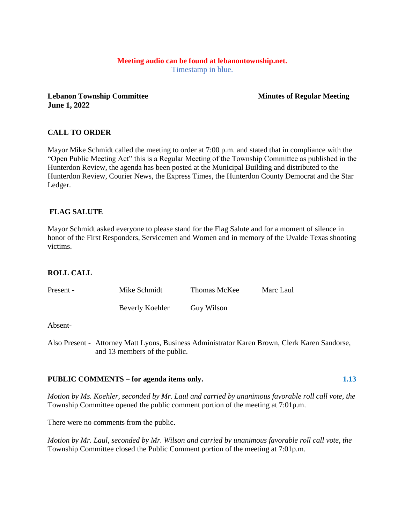# **Meeting audio can be found at lebanontownship.net.**

Timestamp in blue.

**Lebanon Township Committee Minutes of Regular Meeting June 1, 2022**

# **CALL TO ORDER**

Mayor Mike Schmidt called the meeting to order at 7:00 p.m. and stated that in compliance with the "Open Public Meeting Act" this is a Regular Meeting of the Township Committee as published in the Hunterdon Review, the agenda has been posted at the Municipal Building and distributed to the Hunterdon Review, Courier News, the Express Times, the Hunterdon County Democrat and the Star Ledger.

# **FLAG SALUTE**

Mayor Schmidt asked everyone to please stand for the Flag Salute and for a moment of silence in honor of the First Responders, Servicemen and Women and in memory of the Uvalde Texas shooting victims.

## **ROLL CALL**

| Present - | Mike Schmidt    | Thomas McKee | Marc Laul |
|-----------|-----------------|--------------|-----------|
|           | Beverly Koehler | Guy Wilson   |           |

### Absent-

Also Present - Attorney Matt Lyons, Business Administrator Karen Brown, Clerk Karen Sandorse, and 13 members of the public.

## PUBLIC COMMENTS – for agenda items only. 1.13

*Motion by Ms. Koehler, seconded by Mr. Laul and carried by unanimous favorable roll call vote, the* Township Committee opened the public comment portion of the meeting at 7:01p.m.

There were no comments from the public.

*Motion by Mr. Laul, seconded by Mr. Wilson and carried by unanimous favorable roll call vote, the* Township Committee closed the Public Comment portion of the meeting at 7:01p.m.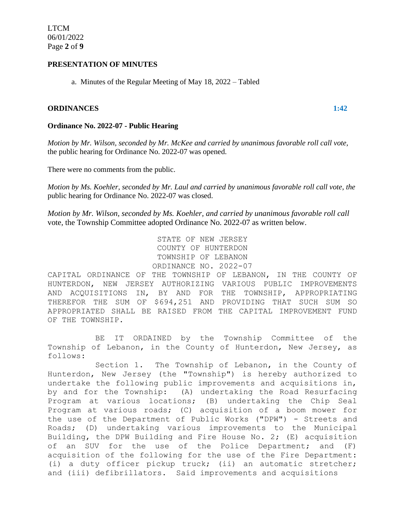## **PRESENTATION OF MINUTES**

a. Minutes of the Regular Meeting of May 18, 2022 – Tabled

### **ORDINANCES 1:42**

## **Ordinance No. 2022-07 - Public Hearing**

*Motion by Mr. Wilson, seconded by Mr. McKee and carried by unanimous favorable roll call vote,* the public hearing for Ordinance No. 2022-07 was opened.

There were no comments from the public.

*Motion by Ms. Koehler, seconded by Mr. Laul and carried by unanimous favorable roll call vote, the* public hearing for Ordinance No. 2022-07 was closed.

*Motion by Mr. Wilson, seconded by Ms. Koehler, and carried by unanimous favorable roll call* vote, the Township Committee adopted Ordinance No. 2022-07 as written below.

```
STATE OF NEW JERSEY
COUNTY OF HUNTERDON
TOWNSHIP OF LEBANON
ORDINANCE NO. 2022-07
```
CAPITAL ORDINANCE OF THE TOWNSHIP OF LEBANON, IN THE COUNTY OF HUNTERDON, NEW JERSEY AUTHORIZING VARIOUS PUBLIC IMPROVEMENTS AND ACQUISITIONS IN, BY AND FOR THE TOWNSHIP, APPROPRIATING THEREFOR THE SUM OF \$694,251 AND PROVIDING THAT SUCH SUM SO APPROPRIATED SHALL BE RAISED FROM THE CAPITAL IMPROVEMENT FUND OF THE TOWNSHIP.

BE IT ORDAINED by the Township Committee of the Township of Lebanon, in the County of Hunterdon, New Jersey, as follows:

Section 1. The Township of Lebanon, in the County of Hunterdon, New Jersey (the "Township") is hereby authorized to undertake the following public improvements and acquisitions in, by and for the Township: (A) undertaking the Road Resurfacing Program at various locations; (B) undertaking the Chip Seal Program at various roads; (C) acquisition of a boom mower for the use of the Department of Public Works ("DPW") - Streets and Roads; (D) undertaking various improvements to the Municipal Building, the DPW Building and Fire House No. 2; (E) acquisition of an SUV for the use of the Police Department; and (F) acquisition of the following for the use of the Fire Department: (i) a duty officer pickup truck; (ii) an automatic stretcher; and (iii) defibrillators. Said improvements and acquisitions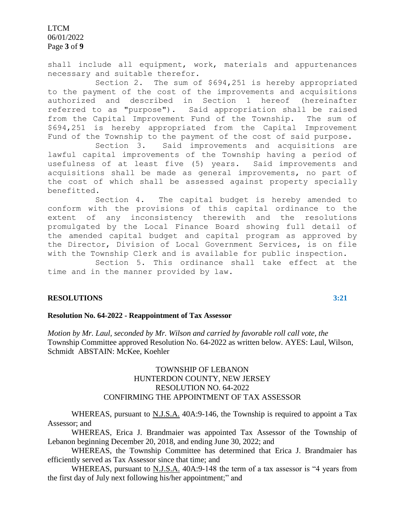LTCM 06/01/2022 Page **3** of **9**

shall include all equipment, work, materials and appurtenances necessary and suitable therefor.

Section 2. The sum of \$694,251 is hereby appropriated to the payment of the cost of the improvements and acquisitions authorized and described in Section 1 hereof (hereinafter referred to as "purpose"). Said appropriation shall be raised from the Capital Improvement Fund of the Township. The sum of \$694,251 is hereby appropriated from the Capital Improvement Fund of the Township to the payment of the cost of said purpose.

Section 3. Said improvements and acquisitions are lawful capital improvements of the Township having a period of usefulness of at least five (5) years. Said improvements and acquisitions shall be made as general improvements, no part of the cost of which shall be assessed against property specially benefitted.

Section 4. The capital budget is hereby amended to conform with the provisions of this capital ordinance to the extent of any inconsistency therewith and the resolutions promulgated by the Local Finance Board showing full detail of the amended capital budget and capital program as approved by the Director, Division of Local Government Services, is on file with the Township Clerk and is available for public inspection.

Section 5. This ordinance shall take effect at the time and in the manner provided by law.

## **RESOLUTIONS 3:21**

**Resolution No. 64-2022 - Reappointment of Tax Assessor**

*Motion by Mr. Laul, seconded by Mr. Wilson and carried by favorable roll call vote, the* Township Committee approved Resolution No. 64-2022 as written below. AYES: Laul, Wilson, Schmidt ABSTAIN: McKee, Koehler

## TOWNSHIP OF LEBANON HUNTERDON COUNTY, NEW JERSEY RESOLUTION NO. 64-2022 CONFIRMING THE APPOINTMENT OF TAX ASSESSOR

WHEREAS, pursuant to N.J.S.A. 40A:9-146, the Township is required to appoint a Tax Assessor; and

WHEREAS, Erica J. Brandmaier was appointed Tax Assessor of the Township of Lebanon beginning December 20, 2018, and ending June 30, 2022; and

WHEREAS, the Township Committee has determined that Erica J. Brandmaier has efficiently served as Tax Assessor since that time; and

WHEREAS, pursuant to N.J.S.A. 40A:9-148 the term of a tax assessor is "4 years from the first day of July next following his/her appointment;" and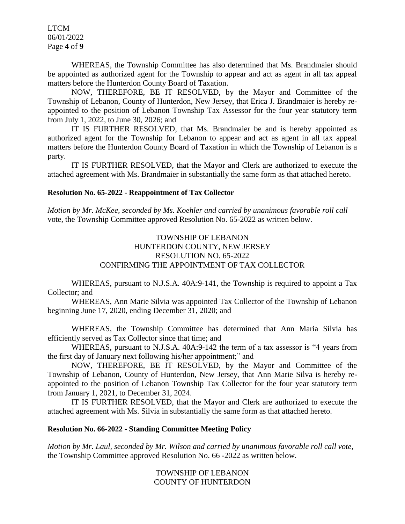LTCM 06/01/2022 Page **4** of **9**

WHEREAS, the Township Committee has also determined that Ms. Brandmaier should be appointed as authorized agent for the Township to appear and act as agent in all tax appeal matters before the Hunterdon County Board of Taxation.

NOW, THEREFORE, BE IT RESOLVED, by the Mayor and Committee of the Township of Lebanon, County of Hunterdon, New Jersey, that Erica J. Brandmaier is hereby reappointed to the position of Lebanon Township Tax Assessor for the four year statutory term from July 1, 2022, to June 30, 2026; and

IT IS FURTHER RESOLVED, that Ms. Brandmaier be and is hereby appointed as authorized agent for the Township for Lebanon to appear and act as agent in all tax appeal matters before the Hunterdon County Board of Taxation in which the Township of Lebanon is a party.

IT IS FURTHER RESOLVED, that the Mayor and Clerk are authorized to execute the attached agreement with Ms. Brandmaier in substantially the same form as that attached hereto.

## **Resolution No. 65-2022 - Reappointment of Tax Collector**

*Motion by Mr. McKee, seconded by Ms. Koehler and carried by unanimous favorable roll call* vote, the Township Committee approved Resolution No. 65-2022 as written below.

## TOWNSHIP OF LEBANON HUNTERDON COUNTY, NEW JERSEY RESOLUTION NO. 65-2022 CONFIRMING THE APPOINTMENT OF TAX COLLECTOR

WHEREAS, pursuant to N.J.S.A. 40A:9-141, the Township is required to appoint a Tax Collector; and

WHEREAS, Ann Marie Silvia was appointed Tax Collector of the Township of Lebanon beginning June 17, 2020, ending December 31, 2020; and

WHEREAS, the Township Committee has determined that Ann Maria Silvia has efficiently served as Tax Collector since that time; and

WHEREAS, pursuant to N.J.S.A. 40A:9-142 the term of a tax assessor is "4 years from the first day of January next following his/her appointment;" and

NOW, THEREFORE, BE IT RESOLVED, by the Mayor and Committee of the Township of Lebanon, County of Hunterdon, New Jersey, that Ann Marie Silva is hereby reappointed to the position of Lebanon Township Tax Collector for the four year statutory term from January 1, 2021, to December 31, 2024.

IT IS FURTHER RESOLVED, that the Mayor and Clerk are authorized to execute the attached agreement with Ms. Silvia in substantially the same form as that attached hereto.

## **Resolution No. 66-2022 - Standing Committee Meeting Policy**

*Motion by Mr. Laul, seconded by Mr. Wilson and carried by unanimous favorable roll call vote,* the Township Committee approved Resolution No. 66 -2022 as written below.

> TOWNSHIP OF LEBANON COUNTY OF HUNTERDON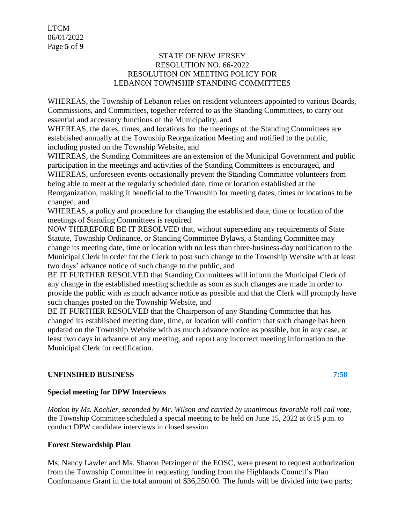## STATE OF NEW JERSEY RESOLUTION NO. 66-2022 RESOLUTION ON MEETING POLICY FOR LEBANON TOWNSHIP STANDING COMMITTEES

WHEREAS, the Township of Lebanon relies on resident volunteers appointed to various Boards, Commissions, and Committees, together referred to as the Standing Committees, to carry out essential and accessory functions of the Municipality, and

WHEREAS, the dates, times, and locations for the meetings of the Standing Committees are established annually at the Township Reorganization Meeting and notified to the public, including posted on the Township Website, and

WHEREAS, the Standing Committees are an extension of the Municipal Government and public participation in the meetings and activities of the Standing Committees is encouraged, and WHEREAS, unforeseen events occasionally prevent the Standing Committee volunteers from being able to meet at the regularly scheduled date, time or location established at the Reorganization, making it beneficial to the Township for meeting dates, times or locations to be changed, and

WHEREAS, a policy and procedure for changing the established date, time or location of the meetings of Standing Committees is required.

NOW THEREFORE BE IT RESOLVED that, without superseding any requirements of State Statute, Township Ordinance, or Standing Committee Bylaws, a Standing Committee may change its meeting date, time or location with no less than three-business-day notification to the Municipal Clerk in order for the Clerk to post such change to the Township Website with at least two days' advance notice of such change to the public, and

BE IT FURTHER RESOLVED that Standing Committees will inform the Municipal Clerk of any change in the established meeting schedule as soon as such changes are made in order to provide the public with as much advance notice as possible and that the Clerk will promptly have such changes posted on the Township Website, and

BE IT FURTHER RESOLVED that the Chairperson of any Standing Committee that has changed its established meeting date, time, or location will confirm that such change has been updated on the Township Website with as much advance notice as possible, but in any case, at least two days in advance of any meeting, and report any incorrect meeting information to the Municipal Clerk for rectification.

# **UNFINSIHED BUSINESS 7:58**

# **Special meeting for DPW Interviews**

*Motion by Ms. Koehler, seconded by Mr. Wilson and carried by unanimous favorable roll call vote,* the Township Committee scheduled a special meeting to be held on June 15, 2022 at 6:15 p.m. to conduct DPW candidate interviews in closed session.

# **Forest Stewardship Plan**

Ms. Nancy Lawler and Ms. Sharon Petzinger of the EOSC, were present to request authorization from the Township Committee in requesting funding from the Highlands Council's Plan Conformance Grant in the total amount of \$36,250.00. The funds will be divided into two parts;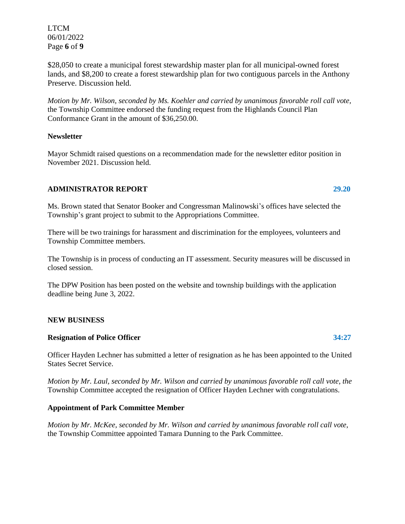LTCM 06/01/2022 Page **6** of **9**

\$28,050 to create a municipal forest stewardship master plan for all municipal-owned forest lands, and \$8,200 to create a forest stewardship plan for two contiguous parcels in the Anthony Preserve. Discussion held.

*Motion by Mr. Wilson, seconded by Ms. Koehler and carried by unanimous favorable roll call vote,* the Township Committee endorsed the funding request from the Highlands Council Plan Conformance Grant in the amount of \$36,250.00.

## **Newsletter**

Mayor Schmidt raised questions on a recommendation made for the newsletter editor position in November 2021. Discussion held.

## **ADMINISTRATOR REPORT 29.20**

Ms. Brown stated that Senator Booker and Congressman Malinowski's offices have selected the Township's grant project to submit to the Appropriations Committee.

There will be two trainings for harassment and discrimination for the employees, volunteers and Township Committee members.

The Township is in process of conducting an IT assessment. Security measures will be discussed in closed session.

The DPW Position has been posted on the website and township buildings with the application deadline being June 3, 2022.

### **NEW BUSINESS**

### **Resignation of Police Officer 34:27**

Officer Hayden Lechner has submitted a letter of resignation as he has been appointed to the United States Secret Service.

*Motion by Mr. Laul, seconded by Mr. Wilson and carried by unanimous favorable roll call vote, the* Township Committee accepted the resignation of Officer Hayden Lechner with congratulations.

## **Appointment of Park Committee Member**

*Motion by Mr. McKee, seconded by Mr. Wilson and carried by unanimous favorable roll call vote,* the Township Committee appointed Tamara Dunning to the Park Committee.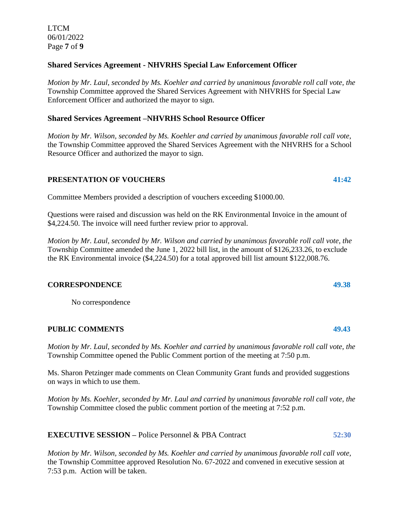## **Shared Services Agreement - NHVRHS Special Law Enforcement Officer**

*Motion by Mr. Laul, seconded by Ms. Koehler and carried by unanimous favorable roll call vote, the* Township Committee approved the Shared Services Agreement with NHVRHS for Special Law Enforcement Officer and authorized the mayor to sign.

## **Shared Services Agreement –NHVRHS School Resource Officer**

*Motion by Mr. Wilson, seconded by Ms. Koehler and carried by unanimous favorable roll call vote,* the Township Committee approved the Shared Services Agreement with the NHVRHS for a School Resource Officer and authorized the mayor to sign.

## **PRESENTATION OF VOUCHERS 41:42**

Committee Members provided a description of vouchers exceeding \$1000.00.

Questions were raised and discussion was held on the RK Environmental Invoice in the amount of \$4,224.50. The invoice will need further review prior to approval.

*Motion by Mr. Laul, seconded by Mr. Wilson and carried by unanimous favorable roll call vote, the* Township Committee amended the June 1, 2022 bill list, in the amount of \$126,233.26, to exclude the RK Environmental invoice (\$4,224.50) for a total approved bill list amount \$122,008.76.

### **CORRESPONDENCE 49.38**

No correspondence

## **PUBLIC COMMENTS 49.43**

*Motion by Mr. Laul, seconded by Ms. Koehler and carried by unanimous favorable roll call vote, the* Township Committee opened the Public Comment portion of the meeting at 7:50 p.m.

Ms. Sharon Petzinger made comments on Clean Community Grant funds and provided suggestions on ways in which to use them.

*Motion by Ms. Koehler, seconded by Mr. Laul and carried by unanimous favorable roll call vote, the* Township Committee closed the public comment portion of the meeting at 7:52 p.m.

**EXECUTIVE SESSION –** Police Personnel & PBA Contract **52:30**

*Motion by Mr. Wilson, seconded by Ms. Koehler and carried by unanimous favorable roll call vote,*  the Township Committee approved Resolution No. 67-2022 and convened in executive session at 7:53 p.m. Action will be taken.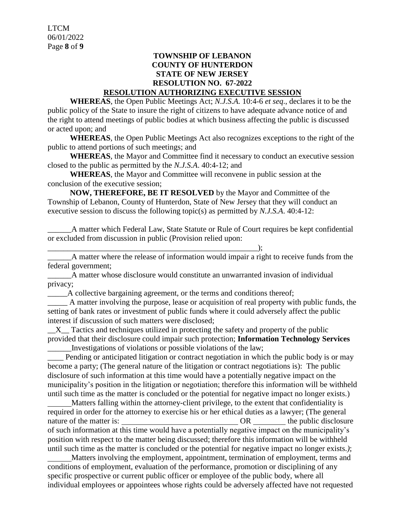## **TOWNSHIP OF LEBANON COUNTY OF HUNTERDON STATE OF NEW JERSEY RESOLUTION NO. 67-2022 RESOLUTION AUTHORIZING EXECUTIVE SESSION**

**WHEREAS**, the Open Public Meetings Act; *N.J.S.A.* 10:4-6 *et seq*., declares it to be the public policy of the State to insure the right of citizens to have adequate advance notice of and the right to attend meetings of public bodies at which business affecting the public is discussed or acted upon; and

**WHEREAS**, the Open Public Meetings Act also recognizes exceptions to the right of the public to attend portions of such meetings; and

**WHEREAS**, the Mayor and Committee find it necessary to conduct an executive session closed to the public as permitted by the *N.J.S.A*. 40:4-12; and

**WHEREAS**, the Mayor and Committee will reconvene in public session at the conclusion of the executive session;

**NOW, THEREFORE, BE IT RESOLVED** by the Mayor and Committee of the Township of Lebanon, County of Hunterdon, State of New Jersey that they will conduct an executive session to discuss the following topic(s) as permitted by *N.J.S.A*. 40:4-12:

\_\_\_\_\_\_A matter which Federal Law, State Statute or Rule of Court requires be kept confidential or excluded from discussion in public (Provision relied upon:

\_\_\_\_\_\_\_\_\_\_\_\_\_\_\_\_\_\_\_\_\_\_\_\_\_\_\_\_\_\_\_\_\_\_\_\_\_\_\_\_\_\_\_\_\_\_\_\_\_\_\_\_\_); \_\_\_\_\_\_A matter where the release of information would impair a right to receive funds from the federal government;

\_\_\_\_\_\_A matter whose disclosure would constitute an unwarranted invasion of individual privacy;

\_\_\_\_\_A collective bargaining agreement, or the terms and conditions thereof;

\_\_\_\_\_ A matter involving the purpose, lease or acquisition of real property with public funds, the setting of bank rates or investment of public funds where it could adversely affect the public interest if discussion of such matters were disclosed;

 $X_{\text{max}}$  Tactics and techniques utilized in protecting the safety and property of the public provided that their disclosure could impair such protection; **Information Technology Services** \_\_\_\_\_\_Investigations of violations or possible violations of the law;

Pending or anticipated litigation or contract negotiation in which the public body is or may become a party; (The general nature of the litigation or contract negotiations is): The public disclosure of such information at this time would have a potentially negative impact on the municipality's position in the litigation or negotiation; therefore this information will be withheld until such time as the matter is concluded or the potential for negative impact no longer exists.)

 Matters falling within the attorney-client privilege, to the extent that confidentiality is required in order for the attorney to exercise his or her ethical duties as a lawyer; (The general nature of the matter is:  $OR$  the public disclosure of such information at this time would have a potentially negative impact on the municipality's position with respect to the matter being discussed; therefore this information will be withheld until such time as the matter is concluded or the potential for negative impact no longer exists.*)*;

 Matters involving the employment, appointment, termination of employment, terms and conditions of employment, evaluation of the performance, promotion or disciplining of any specific prospective or current public officer or employee of the public body, where all individual employees or appointees whose rights could be adversely affected have not requested